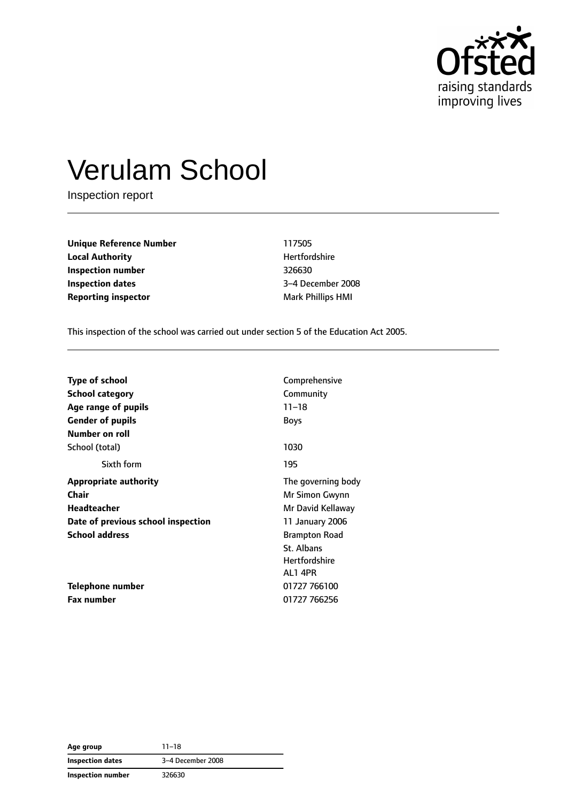

# Verulam School

Inspection report

**Unique Reference Number** 117505 **Local Authority Material Authority Hertfordshire Inspection number** 326630 **Inspection dates** 3–4 December 2008 **Reporting inspector and a structure in the Mark Phillips HMI** 

This inspection of the school was carried out under section 5 of the Education Act 2005.

| <b>Type of school</b>              | Comprehensive        |  |
|------------------------------------|----------------------|--|
| <b>School category</b>             | Community            |  |
| Age range of pupils                | $11 - 18$            |  |
| <b>Gender of pupils</b>            | <b>Boys</b>          |  |
| Number on roll                     |                      |  |
| School (total)                     | 1030                 |  |
| Sixth form                         | 195                  |  |
| <b>Appropriate authority</b>       | The governing body   |  |
| Chair                              | Mr Simon Gwynn       |  |
| <b>Headteacher</b>                 | Mr David Kellaway    |  |
| Date of previous school inspection | 11 January 2006      |  |
| <b>School address</b>              | <b>Brampton Road</b> |  |
|                                    | St. Albans           |  |
|                                    | <b>Hertfordshire</b> |  |
|                                    | AL14PR               |  |
| Telephone number                   | 01727 766100         |  |
| <b>Fax number</b>                  | 01727 766256         |  |

**Age group** 11–18 **Inspection dates** 3–4 December 2008 **Inspection number** 326630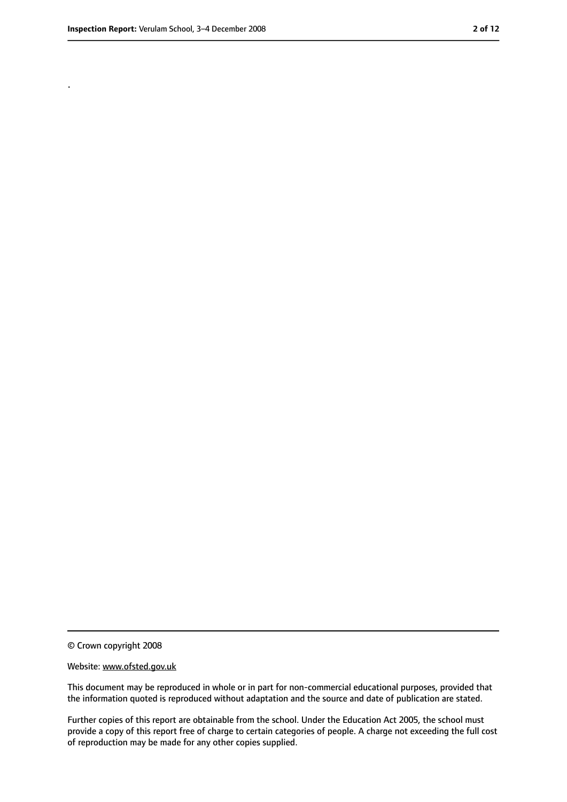.

<sup>©</sup> Crown copyright 2008

Website: www.ofsted.gov.uk

This document may be reproduced in whole or in part for non-commercial educational purposes, provided that the information quoted is reproduced without adaptation and the source and date of publication are stated.

Further copies of this report are obtainable from the school. Under the Education Act 2005, the school must provide a copy of this report free of charge to certain categories of people. A charge not exceeding the full cost of reproduction may be made for any other copies supplied.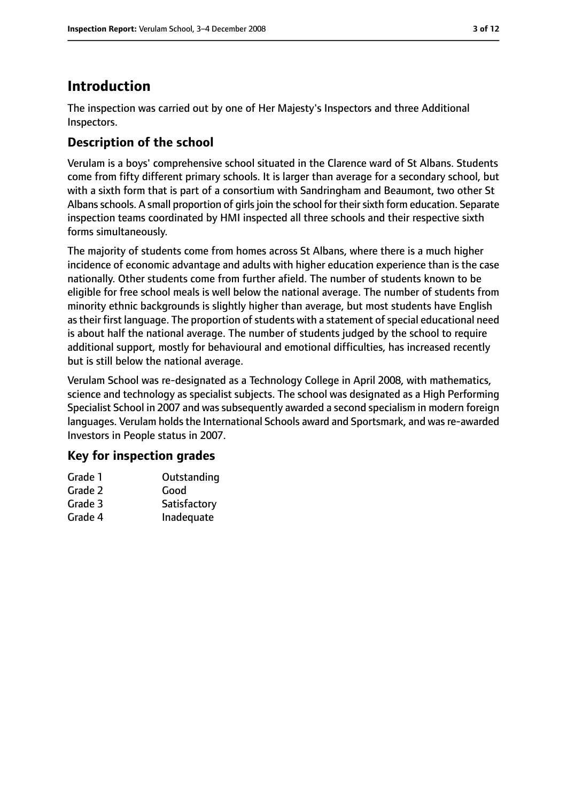# **Introduction**

The inspection was carried out by one of Her Majesty's Inspectors and three Additional Inspectors.

# **Description of the school**

Verulam is a boys' comprehensive school situated in the Clarence ward of St Albans. Students come from fifty different primary schools. It is larger than average for a secondary school, but with a sixth form that is part of a consortium with Sandringham and Beaumont, two other St Albans schools. A small proportion of girls join the school for their sixth form education. Separate inspection teams coordinated by HMI inspected all three schools and their respective sixth forms simultaneously.

The majority of students come from homes across St Albans, where there is a much higher incidence of economic advantage and adults with higher education experience than is the case nationally. Other students come from further afield. The number of students known to be eligible for free school meals is well below the national average. The number of students from minority ethnic backgrounds is slightly higher than average, but most students have English as their first language. The proportion of students with a statement of special educational need is about half the national average. The number of students judged by the school to require additional support, mostly for behavioural and emotional difficulties, has increased recently but is still below the national average.

Verulam School was re-designated as a Technology College in April 2008, with mathematics, science and technology as specialist subjects. The school was designated as a High Performing Specialist School in 2007 and was subsequently awarded a second specialism in modern foreign languages. Verulam holds the International Schools award and Sportsmark, and was re-awarded Investors in People status in 2007.

### **Key for inspection grades**

| Outstanding  |
|--------------|
| Good         |
| Satisfactory |
| Inadequate   |
|              |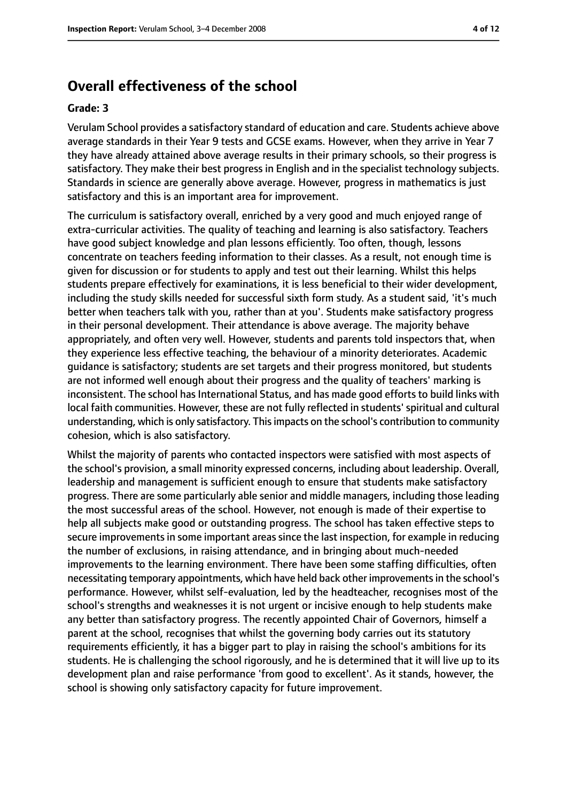# **Overall effectiveness of the school**

#### **Grade: 3**

Verulam School provides a satisfactory standard of education and care. Students achieve above average standards in their Year 9 tests and GCSE exams. However, when they arrive in Year 7 they have already attained above average results in their primary schools, so their progress is satisfactory. They make their best progress in English and in the specialist technology subjects. Standards in science are generally above average. However, progress in mathematics is just satisfactory and this is an important area for improvement.

The curriculum is satisfactory overall, enriched by a very good and much enjoyed range of extra-curricular activities. The quality of teaching and learning is also satisfactory. Teachers have good subject knowledge and plan lessons efficiently. Too often, though, lessons concentrate on teachers feeding information to their classes. As a result, not enough time is given for discussion or for students to apply and test out their learning. Whilst this helps students prepare effectively for examinations, it is less beneficial to their wider development, including the study skills needed for successful sixth form study. As a student said, 'it's much better when teachers talk with you, rather than at you'. Students make satisfactory progress in their personal development. Their attendance is above average. The majority behave appropriately, and often very well. However, students and parents told inspectors that, when they experience less effective teaching, the behaviour of a minority deteriorates. Academic guidance is satisfactory; students are set targets and their progress monitored, but students are not informed well enough about their progress and the quality of teachers' marking is inconsistent. The school has International Status, and has made good efforts to build links with local faith communities. However, these are not fully reflected in students' spiritual and cultural understanding, which is only satisfactory. This impacts on the school's contribution to community cohesion, which is also satisfactory.

Whilst the majority of parents who contacted inspectors were satisfied with most aspects of the school's provision, a small minority expressed concerns, including about leadership. Overall, leadership and management is sufficient enough to ensure that students make satisfactory progress. There are some particularly able senior and middle managers, including those leading the most successful areas of the school. However, not enough is made of their expertise to help all subjects make good or outstanding progress. The school has taken effective steps to secure improvements in some important areas since the last inspection, for example in reducing the number of exclusions, in raising attendance, and in bringing about much-needed improvements to the learning environment. There have been some staffing difficulties, often necessitating temporary appointments, which have held back other improvementsin the school's performance. However, whilst self-evaluation, led by the headteacher, recognises most of the school's strengths and weaknesses it is not urgent or incisive enough to help students make any better than satisfactory progress. The recently appointed Chair of Governors, himself a parent at the school, recognises that whilst the governing body carries out its statutory requirements efficiently, it has a bigger part to play in raising the school's ambitions for its students. He is challenging the school rigorously, and he is determined that it will live up to its development plan and raise performance 'from good to excellent'. As it stands, however, the school is showing only satisfactory capacity for future improvement.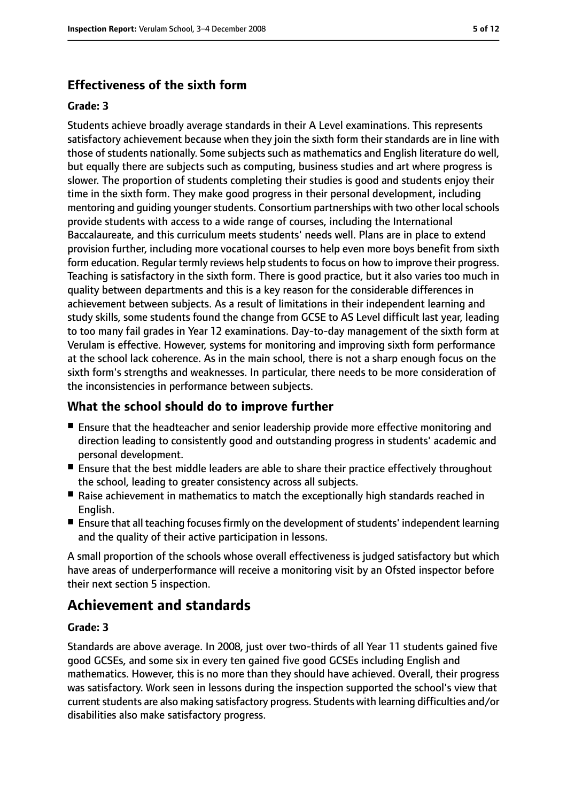#### **Effectiveness of the sixth form**

#### **Grade: 3**

Students achieve broadly average standards in their A Level examinations. This represents satisfactory achievement because when they join the sixth form their standards are in line with those of students nationally. Some subjects such as mathematics and English literature do well, but equally there are subjects such as computing, business studies and art where progress is slower. The proportion of students completing their studies is good and students enjoy their time in the sixth form. They make good progress in their personal development, including mentoring and quiding younger students. Consortium partnerships with two other local schools provide students with access to a wide range of courses, including the International Baccalaureate, and this curriculum meets students' needs well. Plans are in place to extend provision further, including more vocational courses to help even more boys benefit from sixth form education. Regular termly reviews help students to focus on how to improve their progress. Teaching is satisfactory in the sixth form. There is good practice, but it also varies too much in quality between departments and this is a key reason for the considerable differences in achievement between subjects. As a result of limitations in their independent learning and study skills, some students found the change from GCSE to AS Level difficult last year, leading to too many fail grades in Year 12 examinations. Day-to-day management of the sixth form at Verulam is effective. However, systems for monitoring and improving sixth form performance at the school lack coherence. As in the main school, there is not a sharp enough focus on the sixth form's strengths and weaknesses. In particular, there needs to be more consideration of the inconsistencies in performance between subjects.

#### **What the school should do to improve further**

- Ensure that the headteacher and senior leadership provide more effective monitoring and direction leading to consistently good and outstanding progress in students' academic and personal development.
- Ensure that the best middle leaders are able to share their practice effectively throughout the school, leading to greater consistency across all subjects.
- Raise achievement in mathematics to match the exceptionally high standards reached in English.
- Ensure that all teaching focuses firmly on the development of students' independent learning and the quality of their active participation in lessons.

A small proportion of the schools whose overall effectiveness is judged satisfactory but which have areas of underperformance will receive a monitoring visit by an Ofsted inspector before their next section 5 inspection.

# **Achievement and standards**

#### **Grade: 3**

Standards are above average. In 2008, just over two-thirds of all Year 11 students gained five good GCSEs, and some six in every ten gained five good GCSEs including English and mathematics. However, this is no more than they should have achieved. Overall, their progress was satisfactory. Work seen in lessons during the inspection supported the school's view that current students are also making satisfactory progress. Students with learning difficulties and/or disabilities also make satisfactory progress.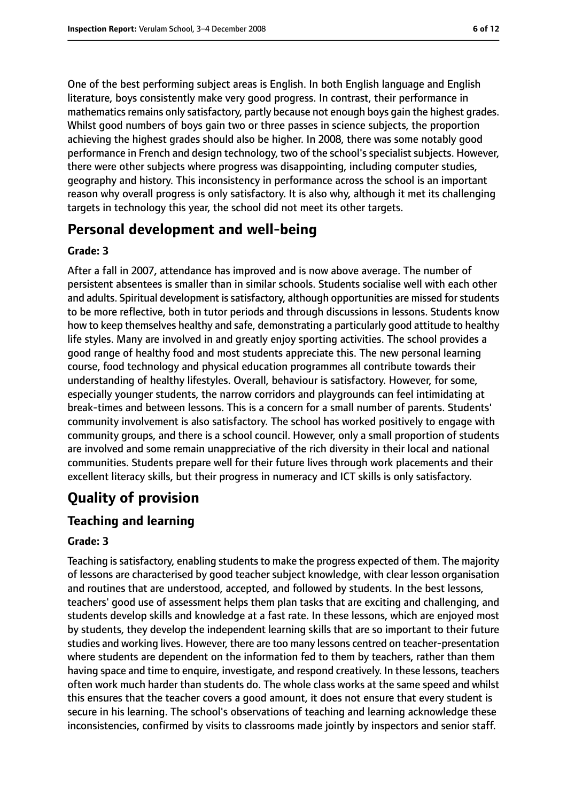One of the best performing subject areas is English. In both English language and English literature, boys consistently make very good progress. In contrast, their performance in mathematics remains only satisfactory, partly because not enough boys gain the highest grades. Whilst good numbers of boys gain two or three passes in science subjects, the proportion achieving the highest grades should also be higher. In 2008, there was some notably good performance in French and design technology, two of the school's specialist subjects. However, there were other subjects where progress was disappointing, including computer studies, geography and history. This inconsistency in performance across the school is an important reason why overall progress is only satisfactory. It is also why, although it met its challenging targets in technology this year, the school did not meet its other targets.

# **Personal development and well-being**

#### **Grade: 3**

After a fall in 2007, attendance has improved and is now above average. The number of persistent absentees is smaller than in similar schools. Students socialise well with each other and adults. Spiritual development is satisfactory, although opportunities are missed for students to be more reflective, both in tutor periods and through discussions in lessons. Students know how to keep themselves healthy and safe, demonstrating a particularly good attitude to healthy life styles. Many are involved in and greatly enjoy sporting activities. The school provides a good range of healthy food and most students appreciate this. The new personal learning course, food technology and physical education programmes all contribute towards their understanding of healthy lifestyles. Overall, behaviour is satisfactory. However, for some, especially younger students, the narrow corridors and playgrounds can feel intimidating at break-times and between lessons. This is a concern for a small number of parents. Students' community involvement is also satisfactory. The school has worked positively to engage with community groups, and there is a school council. However, only a small proportion of students are involved and some remain unappreciative of the rich diversity in their local and national communities. Students prepare well for their future lives through work placements and their excellent literacy skills, but their progress in numeracy and ICT skills is only satisfactory.

# **Quality of provision**

### **Teaching and learning**

#### **Grade: 3**

Teaching is satisfactory, enabling students to make the progress expected of them. The majority of lessons are characterised by good teacher subject knowledge, with clear lesson organisation and routines that are understood, accepted, and followed by students. In the best lessons, teachers' good use of assessment helps them plan tasks that are exciting and challenging, and students develop skills and knowledge at a fast rate. In these lessons, which are enjoyed most by students, they develop the independent learning skills that are so important to their future studies and working lives. However, there are too many lessons centred on teacher-presentation where students are dependent on the information fed to them by teachers, rather than them having space and time to enquire, investigate, and respond creatively. In these lessons, teachers often work much harder than students do. The whole class works at the same speed and whilst this ensures that the teacher covers a good amount, it does not ensure that every student is secure in his learning. The school's observations of teaching and learning acknowledge these inconsistencies, confirmed by visits to classrooms made jointly by inspectors and senior staff.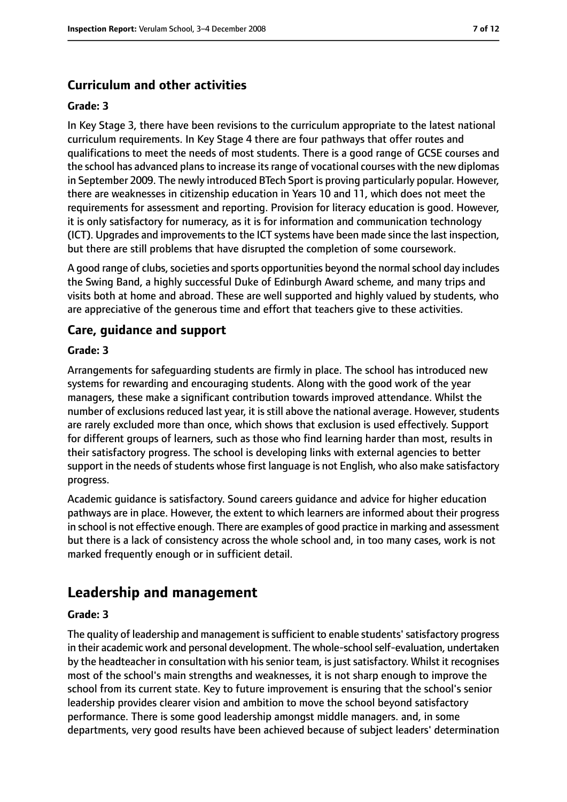# **Curriculum and other activities**

#### **Grade: 3**

In Key Stage 3, there have been revisions to the curriculum appropriate to the latest national curriculum requirements. In Key Stage 4 there are four pathways that offer routes and qualifications to meet the needs of most students. There is a good range of GCSE courses and the school has advanced plans to increase its range of vocational courses with the new diplomas in September 2009. The newly introduced BTech Sport is proving particularly popular. However, there are weaknesses in citizenship education in Years 10 and 11, which does not meet the requirements for assessment and reporting. Provision for literacy education is good. However, it is only satisfactory for numeracy, as it is for information and communication technology (ICT). Upgrades and improvements to the ICT systems have been made since the last inspection, but there are still problems that have disrupted the completion of some coursework.

A good range of clubs, societies and sports opportunities beyond the normal school day includes the Swing Band, a highly successful Duke of Edinburgh Award scheme, and many trips and visits both at home and abroad. These are well supported and highly valued by students, who are appreciative of the generous time and effort that teachers give to these activities.

#### **Care, guidance and support**

#### **Grade: 3**

Arrangements for safeguarding students are firmly in place. The school has introduced new systems for rewarding and encouraging students. Along with the good work of the year managers, these make a significant contribution towards improved attendance. Whilst the number of exclusions reduced last year, it is still above the national average. However, students are rarely excluded more than once, which shows that exclusion is used effectively. Support for different groups of learners, such as those who find learning harder than most, results in their satisfactory progress. The school is developing links with external agencies to better support in the needs of students whose first language is not English, who also make satisfactory progress.

Academic guidance is satisfactory. Sound careers guidance and advice for higher education pathways are in place. However, the extent to which learners are informed about their progress in school is not effective enough. There are examples of good practice in marking and assessment but there is a lack of consistency across the whole school and, in too many cases, work is not marked frequently enough or in sufficient detail.

# **Leadership and management**

#### **Grade: 3**

The quality of leadership and management is sufficient to enable students' satisfactory progress in their academic work and personal development. The whole-school self-evaluation, undertaken by the headteacher in consultation with his senior team, is just satisfactory. Whilst it recognises most of the school's main strengths and weaknesses, it is not sharp enough to improve the school from its current state. Key to future improvement is ensuring that the school's senior leadership provides clearer vision and ambition to move the school beyond satisfactory performance. There is some good leadership amongst middle managers. and, in some departments, very good results have been achieved because of subject leaders' determination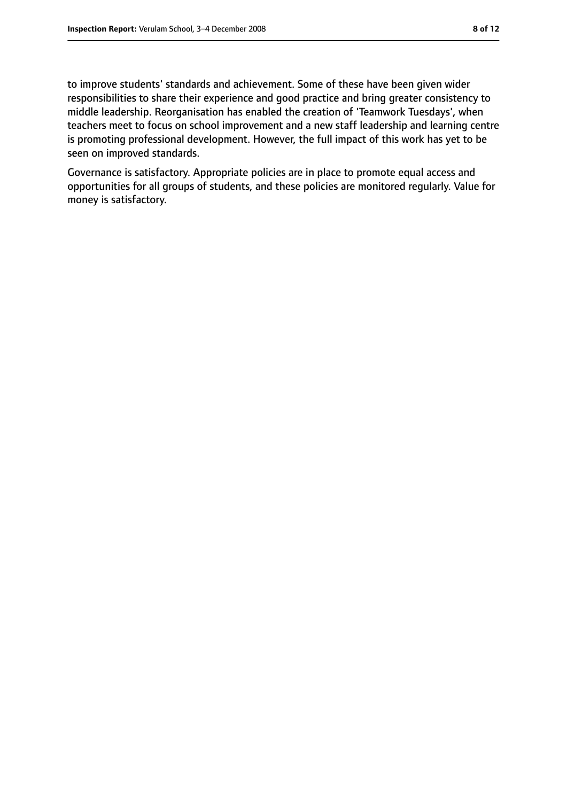to improve students' standards and achievement. Some of these have been given wider responsibilities to share their experience and good practice and bring greater consistency to middle leadership. Reorganisation has enabled the creation of 'Teamwork Tuesdays', when teachers meet to focus on school improvement and a new staff leadership and learning centre is promoting professional development. However, the full impact of this work has yet to be seen on improved standards.

Governance is satisfactory. Appropriate policies are in place to promote equal access and opportunities for all groups of students, and these policies are monitored regularly. Value for money is satisfactory.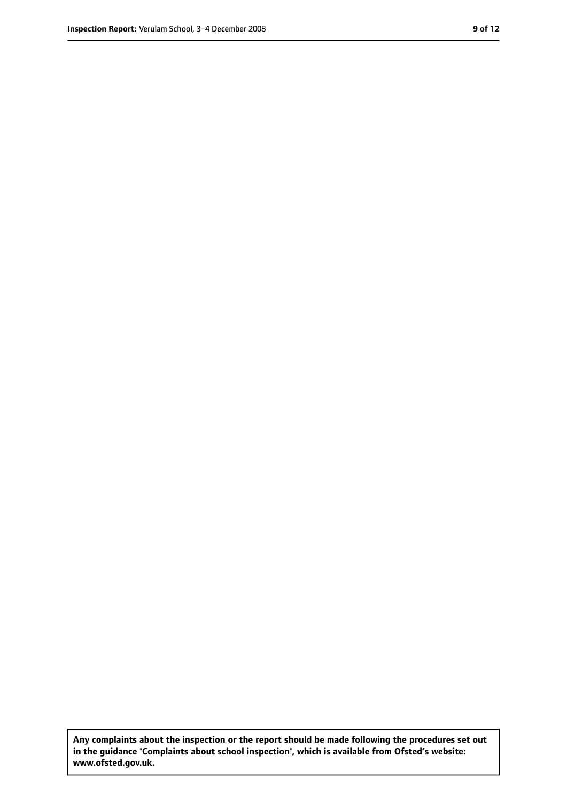**Any complaints about the inspection or the report should be made following the procedures set out in the guidance 'Complaints about school inspection', which is available from Ofsted's website: www.ofsted.gov.uk.**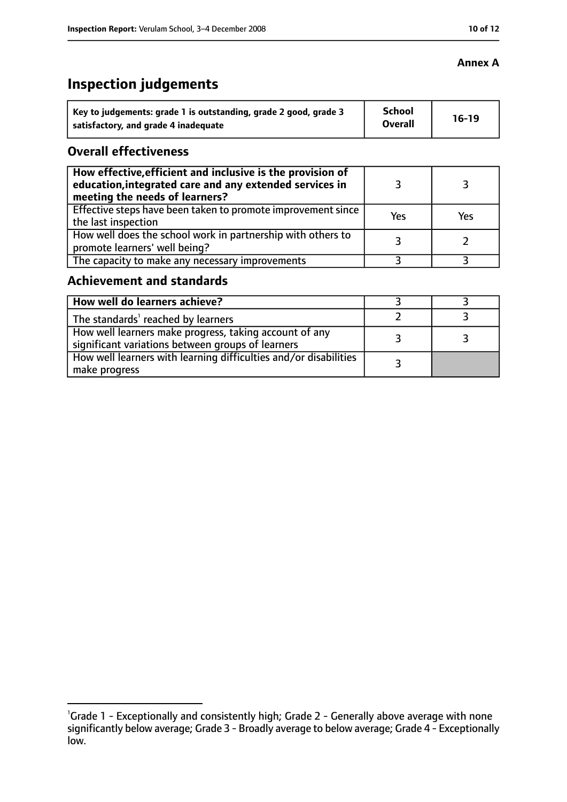# **Inspection judgements**

| Key to judgements: grade 1 is outstanding, grade 2 good, grade 3 | <b>School</b><br><b>Overall</b> | $16-19$ |
|------------------------------------------------------------------|---------------------------------|---------|
| satisfactory, and grade 4 inadequate                             |                                 |         |

#### **Overall effectiveness**

| How effective, efficient and inclusive is the provision of<br>education, integrated care and any extended services in<br>meeting the needs of learners? |     |     |
|---------------------------------------------------------------------------------------------------------------------------------------------------------|-----|-----|
| Effective steps have been taken to promote improvement since<br>the last inspection                                                                     | Yes | Yes |
| How well does the school work in partnership with others to<br>promote learners' well being?                                                            |     |     |
| The capacity to make any necessary improvements                                                                                                         |     |     |

## **Achievement and standards**

| How well do learners achieve?                                                                               |  |
|-------------------------------------------------------------------------------------------------------------|--|
| The standards <sup>1</sup> reached by learners                                                              |  |
| How well learners make progress, taking account of any<br>significant variations between groups of learners |  |
| How well learners with learning difficulties and/or disabilities<br>make progress                           |  |

#### **Annex A**

<sup>&</sup>lt;sup>1</sup>Grade 1 - Exceptionally and consistently high; Grade 2 - Generally above average with none significantly below average; Grade 3 - Broadly average to below average; Grade 4 - Exceptionally low.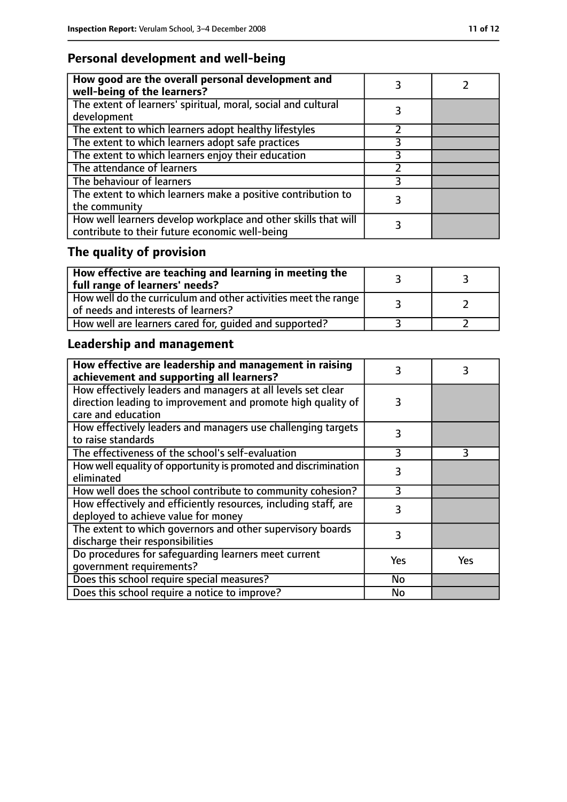# **Personal development and well-being**

| How good are the overall personal development and<br>well-being of the learners?                                 |  |
|------------------------------------------------------------------------------------------------------------------|--|
| The extent of learners' spiritual, moral, social and cultural<br>development                                     |  |
| The extent to which learners adopt healthy lifestyles                                                            |  |
| The extent to which learners adopt safe practices                                                                |  |
| The extent to which learners enjoy their education                                                               |  |
| The attendance of learners                                                                                       |  |
| The behaviour of learners                                                                                        |  |
| The extent to which learners make a positive contribution to<br>the community                                    |  |
| How well learners develop workplace and other skills that will<br>contribute to their future economic well-being |  |

# **The quality of provision**

| $\mid$ How effective are teaching and learning in meeting the<br>full range of learners' needs?       |  |
|-------------------------------------------------------------------------------------------------------|--|
| How well do the curriculum and other activities meet the range<br>of needs and interests of learners? |  |
| How well are learners cared for, quided and supported?                                                |  |

# **Leadership and management**

| How effective are leadership and management in raising<br>achievement and supporting all learners?     | 3         | 3   |
|--------------------------------------------------------------------------------------------------------|-----------|-----|
| How effectively leaders and managers at all levels set clear                                           |           |     |
| direction leading to improvement and promote high quality of<br>care and education                     | 3         |     |
| How effectively leaders and managers use challenging targets<br>to raise standards                     | 3         |     |
| The effectiveness of the school's self-evaluation                                                      | 3         | 3   |
| How well equality of opportunity is promoted and discrimination<br>eliminated                          | 3         |     |
| How well does the school contribute to community cohesion?                                             | ξ         |     |
| How effectively and efficiently resources, including staff, are<br>deployed to achieve value for money | 3         |     |
| The extent to which governors and other supervisory boards<br>discharge their responsibilities         | 3         |     |
| Do procedures for safeguarding learners meet current                                                   | Yes       | Yes |
| qovernment requirements?                                                                               |           |     |
| Does this school require special measures?                                                             | <b>No</b> |     |
| Does this school require a notice to improve?                                                          | No        |     |